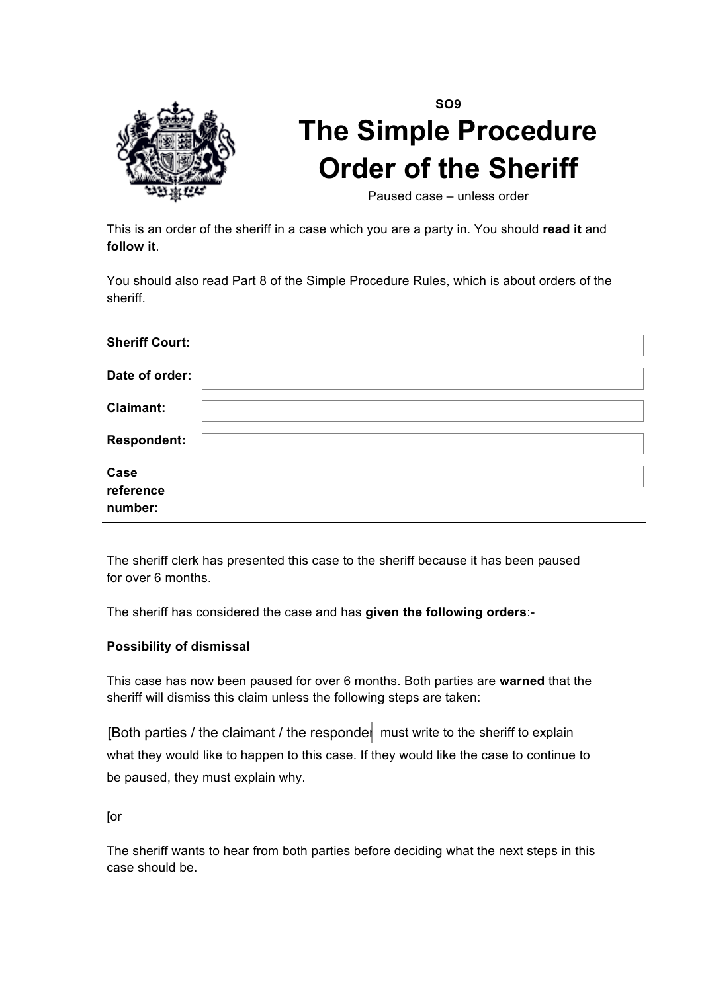

## **SO9 The Simple Procedure Order of the Sheriff**

Paused case – unless order

This is an order of the sheriff in a case which you are a party in. You should **read it** and **follow it**.

You should also read Part 8 of the Simple Procedure Rules, which is about orders of the sheriff.

| <b>Sheriff Court:</b>        |  |
|------------------------------|--|
| Date of order:               |  |
| <b>Claimant:</b>             |  |
| <b>Respondent:</b>           |  |
| Case<br>reference<br>number: |  |

The sheriff clerk has presented this case to the sheriff because it has been paused for over 6 months.

The sheriff has considered the case and has **given the following orders**:-

## **Possibility of dismissal**

This case has now been paused for over 6 months. Both parties are **warned** that the sheriff will dismiss this claim unless the following steps are taken:

[Both parties / the claimant / the respondent must write to the sheriff to explain what they would like to happen to this case. If they would like the case to continue to be paused, they must explain why.

[or

The sheriff wants to hear from both parties before deciding what the next steps in this case should be.